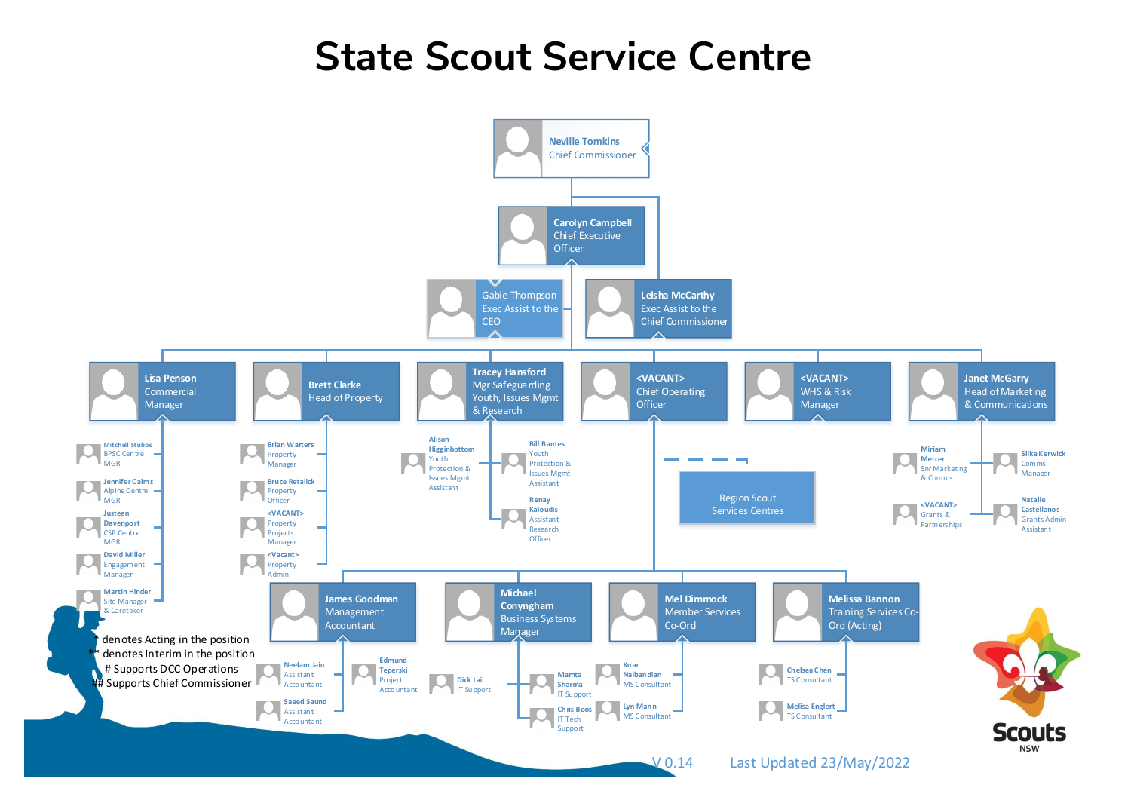## **State Scout Service Centre**